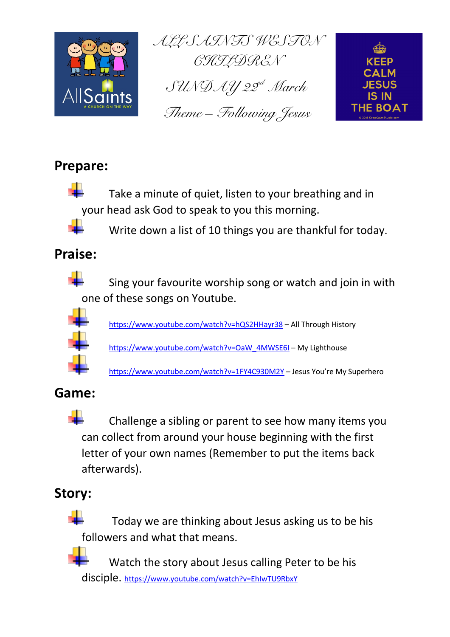

*^ii=p^fkqp=tbpqlk=*  $\mathcal{G}\mathcal{H}\mathcal{I}\mathcal{D}\mathcal{R}\mathcal{E}\mathcal{N}$  $\mathcal{G}U\mathcal{N}\mathcal{D}\mathcal{A}\mathcal{Y}$  22<sup>d</sup> March *qÜÉãÉ=Ó cçääçïáåÖ=gÉëìë*



## **Prepare:**



Take a minute of quiet, listen to your breathing and in your head ask God to speak to you this morning.



Write down a list of 10 things you are thankful for today.

## **Praise:**



Sing your favourite worship song or watch and join in with one of these songs on Youtube.



https://www.youtube.com/watch?v=hQS2HHayr38 – All Through History

https://www.youtube.com/watch?v=OaW\_4MWSE6I – My Lighthouse

https://www.youtube.com/watch?v=1FY4C930M2Y – Jesus You're My Superhero

### **Game:**

┻ Challenge a sibling or parent to see how many items you can collect from around your house beginning with the first letter of your own names (Remember to put the items back afterwards).

## **Story:**



Today we are thinking about Jesus asking us to be his followers and what that means.

Watch the story about Jesus calling Peter to be his disciple. https://www.youtube.com/watch?v=EhIwTU9RbxY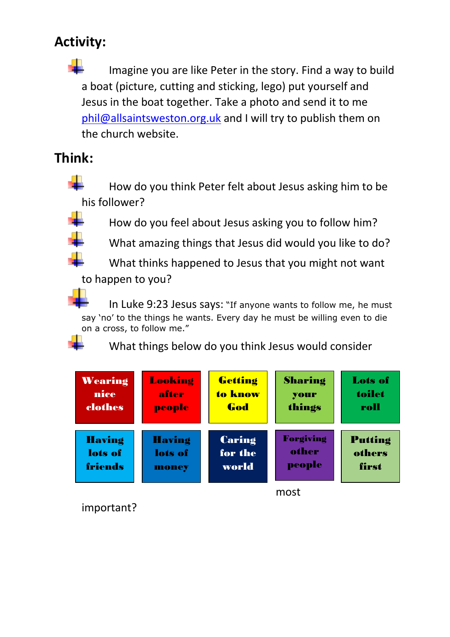# **Activity:**

a ka Imagine you are like Peter in the story. Find a way to build a boat (picture, cutting and sticking, lego) put yourself and Jesus in the boat together. Take a photo and send it to me phil@allsaintsweston.org.uk and I will try to publish them on the church website.

### **Think:**

÷ How do you think Peter felt about Jesus asking him to be his follower?

How do you feel about Jesus asking you to follow him?

What amazing things that Jesus did would you like to do?

What thinks happened to Jesus that you might not want to happen to you?

In Luke 9:23 Jesus says: "If anyone wants to follow me, he must say 'no' to the things he wants. Every day he must be willing even to die on a cross, to follow me."



What things below do you think Jesus would consider

| Wearing       | Looking       | Getting | Sharing          | <b>Lots of</b> |
|---------------|---------------|---------|------------------|----------------|
| nice          | after         | to know | your             | toilet         |
| clothes       | people        | God     | things           | roll           |
| <b>Having</b> | <b>Having</b> | Caring  | <b>Forgiving</b> | <b>Putting</b> |
| lots of       | lots of       | for the | other            | others         |
| friends       | money         | world   | people           | first          |
|               | most          |         |                  |                |

important?